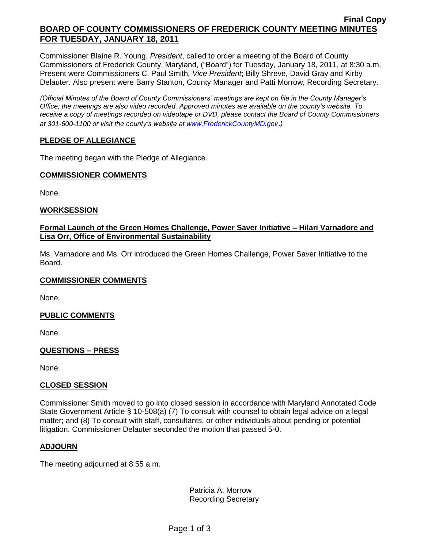### **Final Copy BOARD OF COUNTY COMMISSIONERS OF FREDERICK COUNTY MEETING MINUTES FOR TUESDAY, JANUARY 18, 2011**

Commissioner Blaine R. Young, *President*, called to order a meeting of the Board of County Commissioners of Frederick County, Maryland, ("Board") for Tuesday, January 18, 2011, at 8:30 a.m. Present were Commissioners C. Paul Smith*, Vice President*; Billy Shreve, David Gray and Kirby Delauter. Also present were Barry Stanton, County Manager and Patti Morrow, Recording Secretary.

*(Official Minutes of the Board of County Commissioners' meetings are kept on file in the County Manager's Office; the meetings are also video recorded. Approved minutes are available on the county's website. To receive a copy of meetings recorded on videotape or DVD, please contact the Board of County Commissioners at 301-600-1100 or visit the county's website at [www.FrederickCountyMD.gov](http://www.frederickcountymd.gov/)*.*)*

### **PLEDGE OF ALLEGIANCE**

The meeting began with the Pledge of Allegiance.

#### **COMMISSIONER COMMENTS**

None.

### **WORKSESSION**

### **Formal Launch of the Green Homes Challenge, Power Saver Initiative – Hilari Varnadore and Lisa Orr, Office of Environmental Sustainability**

Ms. Varnadore and Ms. Orr introduced the Green Homes Challenge, Power Saver Initiative to the Board.

#### **COMMISSIONER COMMENTS**

None.

### **PUBLIC COMMENTS**

None.

### **QUESTIONS – PRESS**

None.

### **CLOSED SESSION**

Commissioner Smith moved to go into closed session in accordance with Maryland Annotated Code State Government Article § 10-508(a) (7) To consult with counsel to obtain legal advice on a legal matter; and (8) To consult with staff, consultants, or other individuals about pending or potential litigation. Commissioner Delauter seconded the motion that passed 5-0.

#### **ADJOURN**

The meeting adjourned at 8:55 a.m.

Patricia A. Morrow Recording Secretary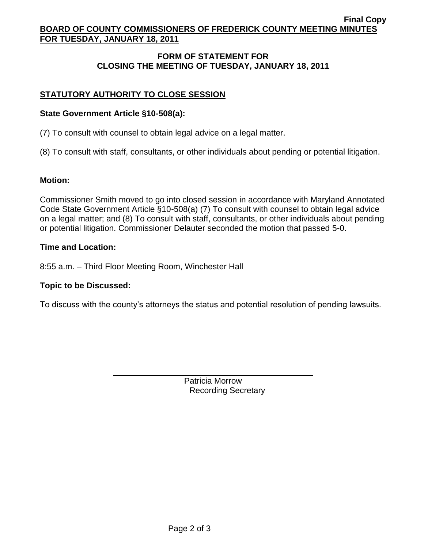### **Final Copy BOARD OF COUNTY COMMISSIONERS OF FREDERICK COUNTY MEETING MINUTES FOR TUESDAY, JANUARY 18, 2011**

# **FORM OF STATEMENT FOR CLOSING THE MEETING OF TUESDAY, JANUARY 18, 2011**

# **STATUTORY AUTHORITY TO CLOSE SESSION**

## **State Government Article §10-508(a):**

(7) To consult with counsel to obtain legal advice on a legal matter.

(8) To consult with staff, consultants, or other individuals about pending or potential litigation.

## **Motion:**

Commissioner Smith moved to go into closed session in accordance with Maryland Annotated Code State Government Article §10-508(a) (7) To consult with counsel to obtain legal advice on a legal matter; and (8) To consult with staff, consultants, or other individuals about pending or potential litigation. Commissioner Delauter seconded the motion that passed 5-0.

## **Time and Location:**

8:55 a.m. – Third Floor Meeting Room, Winchester Hall

## **Topic to be Discussed:**

To discuss with the county's attorneys the status and potential resolution of pending lawsuits.

Patricia Morrow Recording Secretary